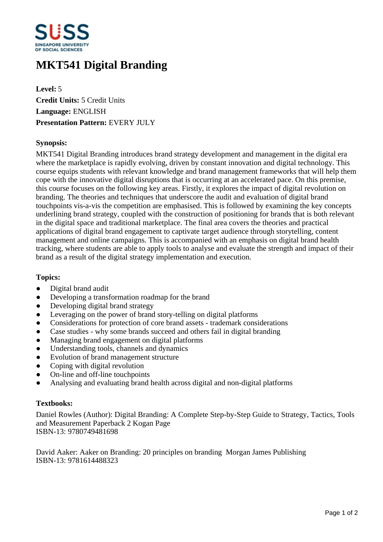

# **MKT541 Digital Branding**

**Level:** 5 **Credit Units:** 5 Credit Units **Language:** ENGLISH **Presentation Pattern:** EVERY JULY

## **Synopsis:**

MKT541 Digital Branding introduces brand strategy development and management in the digital era where the marketplace is rapidly evolving, driven by constant innovation and digital technology. This course equips students with relevant knowledge and brand management frameworks that will help them cope with the innovative digital disruptions that is occurring at an accelerated pace. On this premise, this course focuses on the following key areas. Firstly, it explores the impact of digital revolution on branding. The theories and techniques that underscore the audit and evaluation of digital brand touchpoints vis-a-vis the competition are emphasised. This is followed by examining the key concepts underlining brand strategy, coupled with the construction of positioning for brands that is both relevant in the digital space and traditional marketplace. The final area covers the theories and practical applications of digital brand engagement to captivate target audience through storytelling, content management and online campaigns. This is accompanied with an emphasis on digital brand health tracking, where students are able to apply tools to analyse and evaluate the strength and impact of their brand as a result of the digital strategy implementation and execution.

#### **Topics:**

- Digital brand audit
- Developing a transformation roadmap for the brand
- Developing digital brand strategy
- Leveraging on the power of brand story-telling on digital platforms
- Considerations for protection of core brand assets trademark considerations
- Case studies why some brands succeed and others fail in digital branding
- Managing brand engagement on digital platforms
- Understanding tools, channels and dynamics
- Evolution of brand management structure
- Coping with digital revolution
- On-line and off-line touchpoints
- Analysing and evaluating brand health across digital and non-digital platforms

#### **Textbooks:**

Daniel Rowles (Author): Digital Branding: A Complete Step-by-Step Guide to Strategy, Tactics, Tools and Measurement Paperback 2 Kogan Page ISBN-13: 9780749481698

David Aaker: Aaker on Branding: 20 principles on branding Morgan James Publishing ISBN-13: 9781614488323